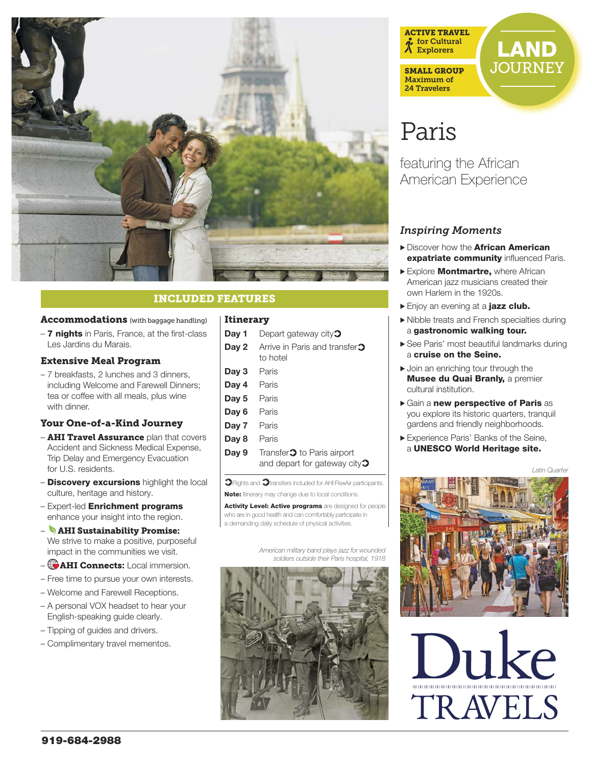

# INCLUDED FEATURES

#### Accommodations (with baggage handling)

– 7 nights in Paris, France, at the first-class Les Jardins du Marais.

#### Extensive Meal Program

– 7 breakfasts, 2 lunches and 3 dinners, including Welcome and Farewell Dinners; tea or coffee with all meals, plus wine with dinner.

#### Your One-of-a-Kind Journey

- **AHI Travel Assurance** plan that covers Accident and Sickness Medical Expense, Trip Delay and Emergency Evacuation for U.S. residents.
- **Discovery excursions** highlight the local culture, heritage and history.
- Expert-led Enrichment programs enhance your insight into the region.
- AHI Sustainability Promise: We strive to make a positive, purposeful impact in the communities we visit.
- AHI Connects: Local immersion.
- Free time to pursue your own interests.
- Welcome and Farewell Receptions.
- A personal VOX headset to hear your English-speaking guide clearly.
- Tipping of guides and drivers.
- Complimentary travel mementos.

#### Itinerary

| Day 1 | Depart gateway city $\mathfrak{D}$                                                   |
|-------|--------------------------------------------------------------------------------------|
| Day 2 | Arrive in Paris and transfer <sup>1</sup><br>to hotel                                |
| Day 3 | Paris                                                                                |
| Day 4 | Paris                                                                                |
| Day 5 | Paris                                                                                |
| Day 6 | Paris                                                                                |
| Day 7 | Paris                                                                                |
| Day 8 | Paris                                                                                |
| Day 9 | Transfer <sup>2</sup> to Paris airport<br>and depart for gateway city $\mathfrak{D}$ |

 $\mathfrak{D}$ Flights and  $\mathfrak{D}$ transfers included for AHI FlexAir participants. Note: Itinerary may change due to local conditions.

Activity Level: Active programs are designed for people who are in good health and can comfortably participate in a demanding daily schedule of physical activities.

> *American military band plays jazz for wounded soldiers outside their Paris hospital, 1918*





# **JOURNEY**

# Paris

featuring the African American Experience

# *Inspiring Moments*

- Discover how the **African American expatriate community influenced Paris.**
- Explore Montmartre, where African American jazz musicians created their own Harlem in the 1920s.
- Enjoy an evening at a jazz club.
- > Nibble treats and French specialties during a gastronomic walking tour.
- > See Paris' most beautiful landmarks during a cruise on the Seine.
- $\blacktriangleright$  Join an enriching tour through the **Musee du Quai Branly, a premier** cultural institution.
- > Gain a new perspective of Paris as you explore its historic quarters, tranquil gardens and friendly neighborhoods.
- > Experience Paris' Banks of the Seine, a UNESCO World Heritage site.

*Latin Quarter*